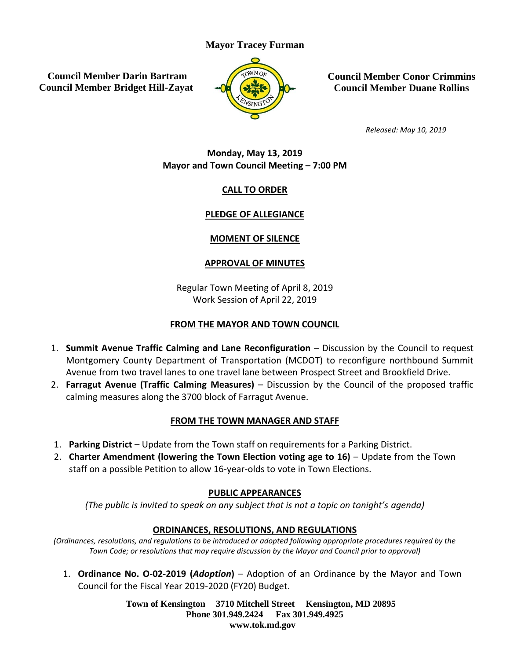### **Mayor Tracey Furman**

**Council Member Darin Bartram Council Member Bridget Hill-Zayat**



**Council Member Conor Crimmins Council Member Duane Rollins**

*Released: May 10, 2019*

### **Monday, May 13, 2019 Mayor and Town Council Meeting – 7:00 PM**

### **CALL TO ORDER**

### **PLEDGE OF ALLEGIANCE**

### **MOMENT OF SILENCE**

### **APPROVAL OF MINUTES**

Regular Town Meeting of April 8, 2019 Work Session of April 22, 2019

### **FROM THE MAYOR AND TOWN COUNCIL**

- 1. **Summit Avenue Traffic Calming and Lane Reconfiguration** Discussion by the Council to request Montgomery County Department of Transportation (MCDOT) to reconfigure northbound Summit Avenue from two travel lanes to one travel lane between Prospect Street and Brookfield Drive.
- 2. **Farragut Avenue (Traffic Calming Measures)** Discussion by the Council of the proposed traffic calming measures along the 3700 block of Farragut Avenue.

### **FROM THE TOWN MANAGER AND STAFF**

- 1. **Parking District** Update from the Town staff on requirements for a Parking District.
- 2. **Charter Amendment (lowering the Town Election voting age to 16)** Update from the Town staff on a possible Petition to allow 16-year-olds to vote in Town Elections.

### **PUBLIC APPEARANCES**

*(The public is invited to speak on any subject that is not a topic on tonight's agenda)* 

### **ORDINANCES, RESOLUTIONS, AND REGULATIONS**

*(Ordinances, resolutions, and regulations to be introduced or adopted following appropriate procedures required by the Town Code; or resolutions that may require discussion by the Mayor and Council prior to approval)*

1. **Ordinance No. O-02-2019 (***Adoption***)** – Adoption of an Ordinance by the Mayor and Town Council for the Fiscal Year 2019-2020 (FY20) Budget.

> **Town of Kensington 3710 Mitchell Street Kensington, MD 20895 Phone 301.949.2424 Fax 301.949.4925 www.tok.md.gov**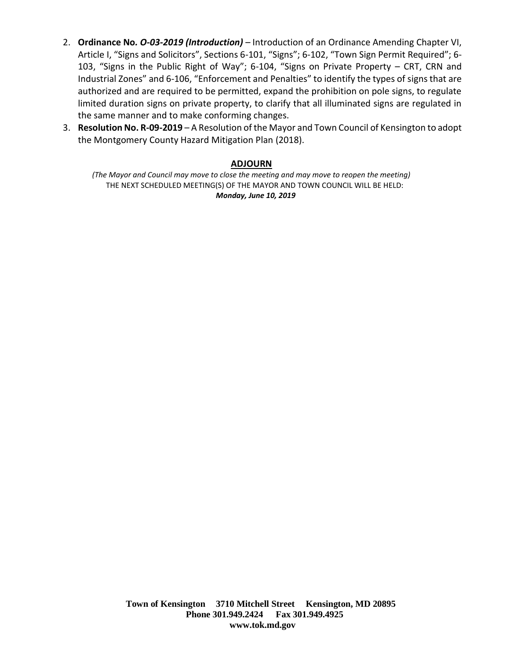- 2. **Ordinance No***. O-03-2019 (Introduction) –* Introduction of an Ordinance Amending Chapter VI, Article I, "Signs and Solicitors", Sections 6-101, "Signs"; 6-102, "Town Sign Permit Required"; 6- 103, "Signs in the Public Right of Way"; 6-104, "Signs on Private Property – CRT, CRN and Industrial Zones" and 6-106, "Enforcement and Penalties" to identify the types of signs that are authorized and are required to be permitted, expand the prohibition on pole signs, to regulate limited duration signs on private property, to clarify that all illuminated signs are regulated in the same manner and to make conforming changes.
- 3. **Resolution No. R-09-2019** A Resolution of the Mayor and Town Council of Kensington to adopt the Montgomery County Hazard Mitigation Plan (2018).

### **ADJOURN**

*(The Mayor and Council may move to close the meeting and may move to reopen the meeting)* THE NEXT SCHEDULED MEETING(S) OF THE MAYOR AND TOWN COUNCIL WILL BE HELD: *Monday, June 10, 2019*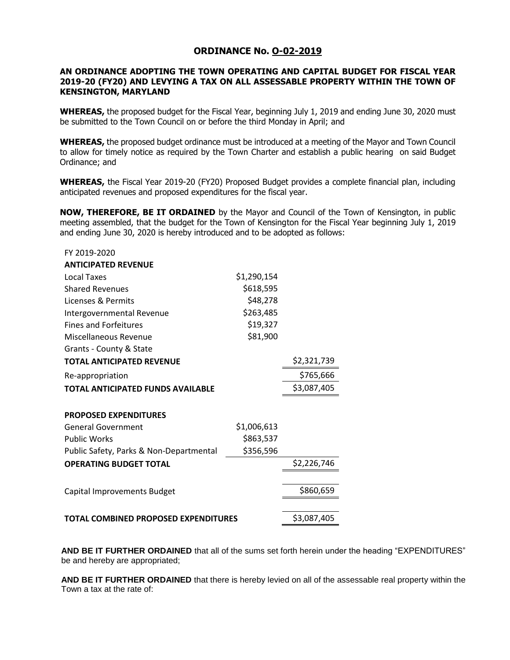#### **ORDINANCE No. O-02-2019**

#### **AN ORDINANCE ADOPTING THE TOWN OPERATING AND CAPITAL BUDGET FOR FISCAL YEAR 2019-20 (FY20) AND LEVYING A TAX ON ALL ASSESSABLE PROPERTY WITHIN THE TOWN OF KENSINGTON, MARYLAND**

**WHEREAS,** the proposed budget for the Fiscal Year, beginning July 1, 2019 and ending June 30, 2020 must be submitted to the Town Council on or before the third Monday in April; and

**WHEREAS,** the proposed budget ordinance must be introduced at a meeting of the Mayor and Town Council to allow for timely notice as required by the Town Charter and establish a public hearing on said Budget Ordinance; and

**WHEREAS,** the Fiscal Year 2019-20 (FY20) Proposed Budget provides a complete financial plan, including anticipated revenues and proposed expenditures for the fiscal year.

**NOW, THEREFORE, BE IT ORDAINED** by the Mayor and Council of the Town of Kensington, in public meeting assembled, that the budget for the Town of Kensington for the Fiscal Year beginning July 1, 2019 and ending June 30, 2020 is hereby introduced and to be adopted as follows:

| FY 2019-2020                            |             |             |
|-----------------------------------------|-------------|-------------|
| <b>ANTICIPATED REVENUE</b>              |             |             |
| Local Taxes                             | \$1,290,154 |             |
| <b>Shared Revenues</b>                  | \$618,595   |             |
| Licenses & Permits                      | \$48,278    |             |
| Intergovernmental Revenue               | \$263,485   |             |
| <b>Fines and Forfeitures</b>            | \$19,327    |             |
| Miscellaneous Revenue                   | \$81,900    |             |
| Grants - County & State                 |             |             |
| <b>TOTAL ANTICIPATED REVENUE</b>        |             | \$2,321,739 |
| Re-appropriation                        |             | \$765,666   |
| TOTAL ANTICIPATED FUNDS AVAILABLE       |             | \$3,087,405 |
|                                         |             |             |
| <b>PROPOSED EXPENDITURES</b>            |             |             |
| <b>General Government</b>               | \$1,006,613 |             |
| <b>Public Works</b>                     | \$863,537   |             |
| Public Safety, Parks & Non-Departmental | \$356,596   |             |
| <b>OPERATING BUDGET TOTAL</b>           |             | \$2,226,746 |
|                                         |             |             |
| Capital Improvements Budget             |             | \$860,659   |
|                                         |             |             |
| TOTAL COMBINED PROPOSED EXPENDITURES    |             | \$3,087,405 |

**AND BE IT FURTHER ORDAINED** that all of the sums set forth herein under the heading "EXPENDITURES" be and hereby are appropriated;

**AND BE IT FURTHER ORDAINED** that there is hereby levied on all of the assessable real property within the Town a tax at the rate of: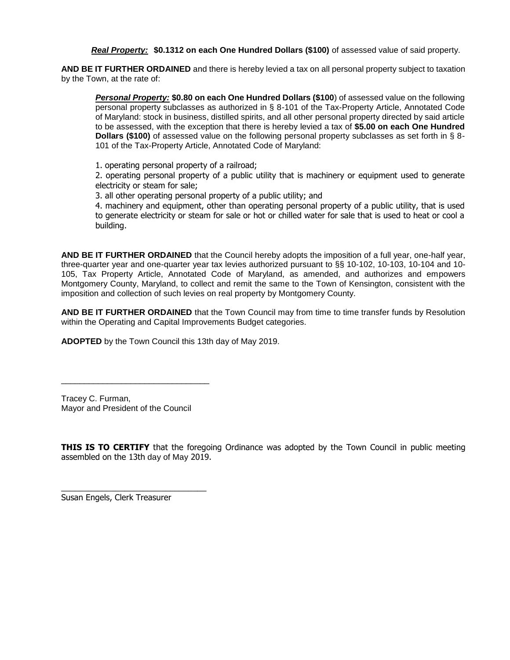*Real Property:* **\$0.1312 on each One Hundred Dollars (\$100)** of assessed value of said property.

**AND BE IT FURTHER ORDAINED** and there is hereby levied a tax on all personal property subject to taxation by the Town, at the rate of:

*Personal Property:* **\$0.80 on each One Hundred Dollars (\$100**) of assessed value on the following personal property subclasses as authorized in § 8-101 of the Tax-Property Article, Annotated Code of Maryland: stock in business, distilled spirits, and all other personal property directed by said article to be assessed, with the exception that there is hereby levied a tax of **\$5.00 on each One Hundred Dollars (\$100)** of assessed value on the following personal property subclasses as set forth in § 8-101 of the Tax-Property Article, Annotated Code of Maryland:

1. operating personal property of a railroad;

2. operating personal property of a public utility that is machinery or equipment used to generate electricity or steam for sale;

3. all other operating personal property of a public utility; and

4. machinery and equipment, other than operating personal property of a public utility, that is used to generate electricity or steam for sale or hot or chilled water for sale that is used to heat or cool a building.

**AND BE IT FURTHER ORDAINED** that the Council hereby adopts the imposition of a full year, one-half year, three-quarter year and one-quarter year tax levies authorized pursuant to §§ 10-102, 10-103, 10-104 and 10- 105, Tax Property Article, Annotated Code of Maryland, as amended, and authorizes and empowers Montgomery County, Maryland, to collect and remit the same to the Town of Kensington, consistent with the imposition and collection of such levies on real property by Montgomery County.

**AND BE IT FURTHER ORDAINED** that the Town Council may from time to time transfer funds by Resolution within the Operating and Capital Improvements Budget categories.

**ADOPTED** by the Town Council this 13th day of May 2019.

Tracey C. Furman, Mayor and President of the Council

\_\_\_\_\_\_\_\_\_\_\_\_\_\_\_\_\_\_\_\_\_\_\_\_\_\_\_\_\_\_\_\_

**THIS IS TO CERTIFY** that the foregoing Ordinance was adopted by the Town Council in public meeting assembled on the 13th day of May 2019.

Susan Engels, Clerk Treasurer

\_\_\_\_\_\_\_\_\_\_\_\_\_\_\_\_\_\_\_\_\_\_\_\_\_\_\_\_\_\_\_\_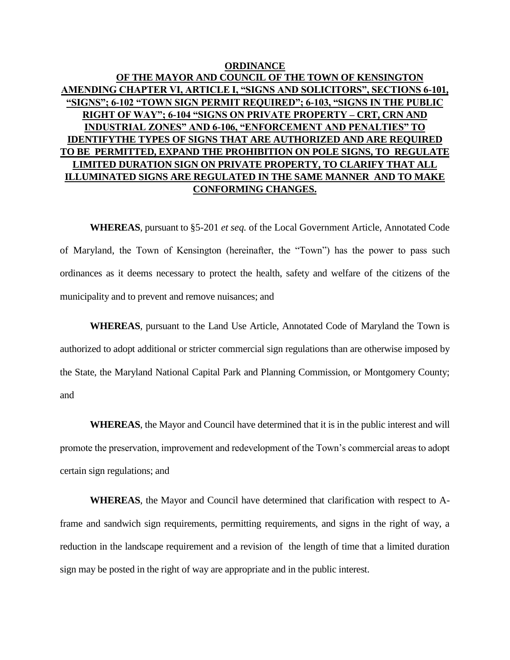### **ORDINANCE OF THE MAYOR AND COUNCIL OF THE TOWN OF KENSINGTON AMENDING CHAPTER VI, ARTICLE I, "SIGNS AND SOLICITORS", SECTIONS 6-101, "SIGNS"; 6-102 "TOWN SIGN PERMIT REQUIRED"; 6-103, "SIGNS IN THE PUBLIC RIGHT OF WAY"; 6-104 "SIGNS ON PRIVATE PROPERTY – CRT, CRN AND INDUSTRIAL ZONES" AND 6-106, "ENFORCEMENT AND PENALTIES" TO IDENTIFYTHE TYPES OF SIGNS THAT ARE AUTHORIZED AND ARE REQUIRED TO BE PERMITTED, EXPAND THE PROHIBITION ON POLE SIGNS, TO REGULATE LIMITED DURATION SIGN ON PRIVATE PROPERTY, TO CLARIFY THAT ALL ILLUMINATED SIGNS ARE REGULATED IN THE SAME MANNER AND TO MAKE CONFORMING CHANGES.**

**WHEREAS**, pursuant to §5-201 *et seq.* of the Local Government Article, Annotated Code of Maryland, the Town of Kensington (hereinafter, the "Town") has the power to pass such ordinances as it deems necessary to protect the health, safety and welfare of the citizens of the municipality and to prevent and remove nuisances; and

**WHEREAS**, pursuant to the Land Use Article, Annotated Code of Maryland the Town is authorized to adopt additional or stricter commercial sign regulations than are otherwise imposed by the State, the Maryland National Capital Park and Planning Commission, or Montgomery County; and

**WHEREAS**, the Mayor and Council have determined that it is in the public interest and will promote the preservation, improvement and redevelopment of the Town's commercial areas to adopt certain sign regulations; and

**WHEREAS**, the Mayor and Council have determined that clarification with respect to Aframe and sandwich sign requirements, permitting requirements, and signs in the right of way, a reduction in the landscape requirement and a revision of the length of time that a limited duration sign may be posted in the right of way are appropriate and in the public interest.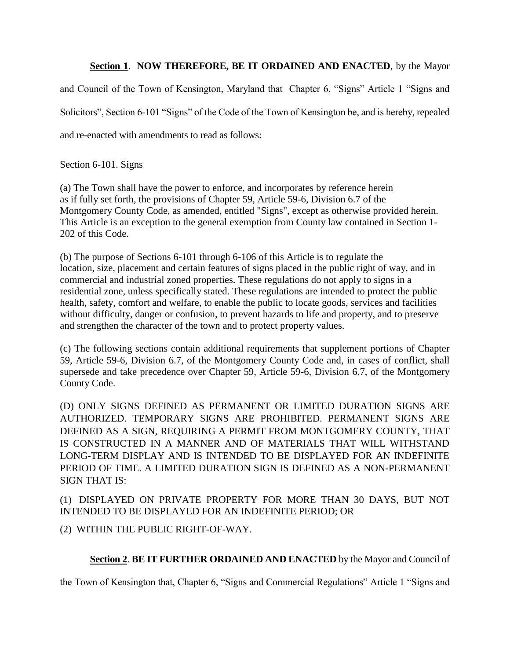### **Section 1**. **NOW THEREFORE, BE IT ORDAINED AND ENACTED**, by the Mayor

and Council of the Town of Kensington, Maryland that Chapter 6, "Signs" Article 1 "Signs and Solicitors", Section 6-101 "Signs" of the Code of the Town of Kensington be, and is hereby, repealed and re-enacted with amendments to read as follows:

Section 6-101. Signs

(a) The Town shall have the power to enforce, and incorporates by reference herein as if fully set forth, the provisions of Chapter 59, Article 59-6, Division 6.7 of the Montgomery County Code, as amended, entitled "Signs", except as otherwise provided herein. This Article is an exception to the general exemption from County law contained in Section 1- 202 of this Code.

(b) The purpose of Sections 6-101 through 6-106 of this Article is to regulate the location, size, placement and certain features of signs placed in the public right of way, and in commercial and industrial zoned properties. These regulations do not apply to signs in a residential zone, unless specifically stated. These regulations are intended to protect the public health, safety, comfort and welfare, to enable the public to locate goods, services and facilities without difficulty, danger or confusion, to prevent hazards to life and property, and to preserve and strengthen the character of the town and to protect property values.

(c) The following sections contain additional requirements that supplement portions of Chapter 59, Article 59-6, Division 6.7, of the Montgomery County Code and, in cases of conflict, shall supersede and take precedence over Chapter 59, Article 59-6, Division 6.7, of the Montgomery County Code.

(D) ONLY SIGNS DEFINED AS PERMANENT OR LIMITED DURATION SIGNS ARE AUTHORIZED. TEMPORARY SIGNS ARE PROHIBITED. PERMANENT SIGNS ARE DEFINED AS A SIGN, REQUIRING A PERMIT FROM MONTGOMERY COUNTY, THAT IS CONSTRUCTED IN A MANNER AND OF MATERIALS THAT WILL WITHSTAND LONG-TERM DISPLAY AND IS INTENDED TO BE DISPLAYED FOR AN INDEFINITE PERIOD OF TIME. A LIMITED DURATION SIGN IS DEFINED AS A NON-PERMANENT SIGN THAT IS:

(1) DISPLAYED ON PRIVATE PROPERTY FOR MORE THAN 30 DAYS, BUT NOT INTENDED TO BE DISPLAYED FOR AN INDEFINITE PERIOD; OR

(2) WITHIN THE PUBLIC RIGHT-OF-WAY.

### **Section 2**. **BE IT FURTHER ORDAINED AND ENACTED** by the Mayor and Council of

the Town of Kensington that, Chapter 6, "Signs and Commercial Regulations" Article 1 "Signs and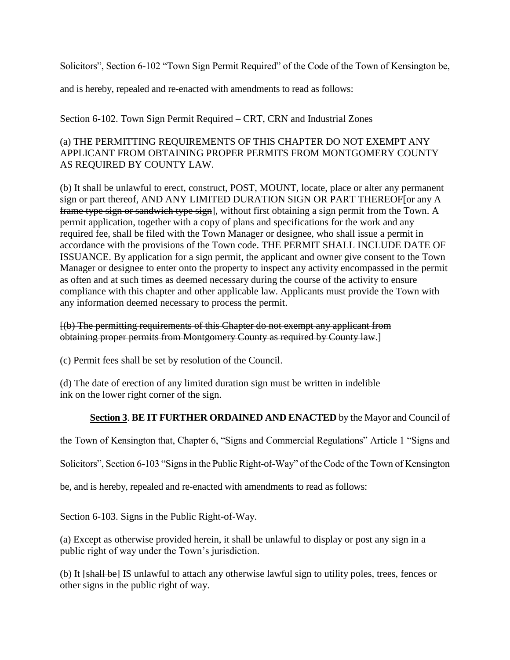Solicitors", Section 6-102 "Town Sign Permit Required" of the Code of the Town of Kensington be,

and is hereby, repealed and re-enacted with amendments to read as follows:

Section 6-102. Town Sign Permit Required – CRT, CRN and Industrial Zones

### (a) THE PERMITTING REQUIREMENTS OF THIS CHAPTER DO NOT EXEMPT ANY APPLICANT FROM OBTAINING PROPER PERMITS FROM MONTGOMERY COUNTY AS REQUIRED BY COUNTY LAW.

(b) It shall be unlawful to erect, construct, POST, MOUNT, locate, place or alter any permanent sign or part thereof, AND ANY LIMITED DURATION SIGN OR PART THEREOF [  $\theta$  any A frame type sign or sandwich type sign], without first obtaining a sign permit from the Town. A permit application, together with a copy of plans and specifications for the work and any required fee, shall be filed with the Town Manager or designee, who shall issue a permit in accordance with the provisions of the Town code. THE PERMIT SHALL INCLUDE DATE OF ISSUANCE. By application for a sign permit, the applicant and owner give consent to the Town Manager or designee to enter onto the property to inspect any activity encompassed in the permit as often and at such times as deemed necessary during the course of the activity to ensure compliance with this chapter and other applicable law. Applicants must provide the Town with any information deemed necessary to process the permit.

### [(b) The permitting requirements of this Chapter do not exempt any applicant from obtaining proper permits from Montgomery County as required by County law.]

(c) Permit fees shall be set by resolution of the Council.

(d) The date of erection of any limited duration sign must be written in indelible ink on the lower right corner of the sign.

### **Section 3**. **BE IT FURTHER ORDAINED AND ENACTED** by the Mayor and Council of

the Town of Kensington that, Chapter 6, "Signs and Commercial Regulations" Article 1 "Signs and

Solicitors", Section 6-103 "Signs in the Public Right-of-Way" of the Code of the Town of Kensington

be, and is hereby, repealed and re-enacted with amendments to read as follows:

Section 6-103. Signs in the Public Right-of-Way.

(a) Except as otherwise provided herein, it shall be unlawful to display or post any sign in a public right of way under the Town's jurisdiction.

(b) It [shall be] IS unlawful to attach any otherwise lawful sign to utility poles, trees, fences or other signs in the public right of way.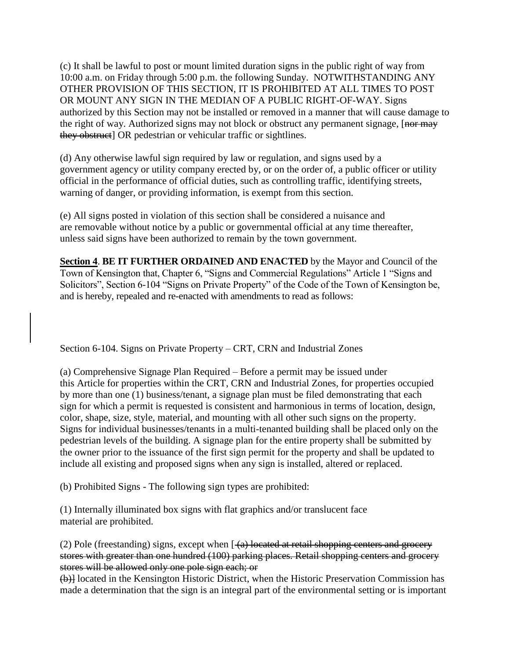(c) It shall be lawful to post or mount limited duration signs in the public right of way from 10:00 a.m. on Friday through 5:00 p.m. the following Sunday. NOTWITHSTANDING ANY OTHER PROVISION OF THIS SECTION, IT IS PROHIBITED AT ALL TIMES TO POST OR MOUNT ANY SIGN IN THE MEDIAN OF A PUBLIC RIGHT-OF-WAY. Signs authorized by this Section may not be installed or removed in a manner that will cause damage to the right of way. Authorized signs may not block or obstruct any permanent signage, [nor may they obstruct] OR pedestrian or vehicular traffic or sightlines.

(d) Any otherwise lawful sign required by law or regulation, and signs used by a government agency or utility company erected by, or on the order of, a public officer or utility official in the performance of official duties, such as controlling traffic, identifying streets, warning of danger, or providing information, is exempt from this section.

(e) All signs posted in violation of this section shall be considered a nuisance and are removable without notice by a public or governmental official at any time thereafter, unless said signs have been authorized to remain by the town government.

**Section 4**. **BE IT FURTHER ORDAINED AND ENACTED** by the Mayor and Council of the Town of Kensington that, Chapter 6, "Signs and Commercial Regulations" Article 1 "Signs and Solicitors", Section 6-104 "Signs on Private Property" of the Code of the Town of Kensington be, and is hereby, repealed and re-enacted with amendments to read as follows:

Section 6-104. Signs on Private Property – CRT, CRN and Industrial Zones

(a) Comprehensive Signage Plan Required – Before a permit may be issued under this Article for properties within the CRT, CRN and Industrial Zones, for properties occupied by more than one (1) business/tenant, a signage plan must be filed demonstrating that each sign for which a permit is requested is consistent and harmonious in terms of location, design, color, shape, size, style, material, and mounting with all other such signs on the property. Signs for individual businesses/tenants in a multi-tenanted building shall be placed only on the pedestrian levels of the building. A signage plan for the entire property shall be submitted by the owner prior to the issuance of the first sign permit for the property and shall be updated to include all existing and proposed signs when any sign is installed, altered or replaced.

(b) Prohibited Signs - The following sign types are prohibited:

(1) Internally illuminated box signs with flat graphics and/or translucent face material are prohibited.

(2) Pole (freestanding) signs, except when  $\left[ \frac{1}{2} \right]$  located at retail shopping centers and grocery stores with greater than one hundred (100) parking places. Retail shopping centers and grocery stores will be allowed only one pole sign each; or

(b)] located in the Kensington Historic District, when the Historic Preservation Commission has made a determination that the sign is an integral part of the environmental setting or is important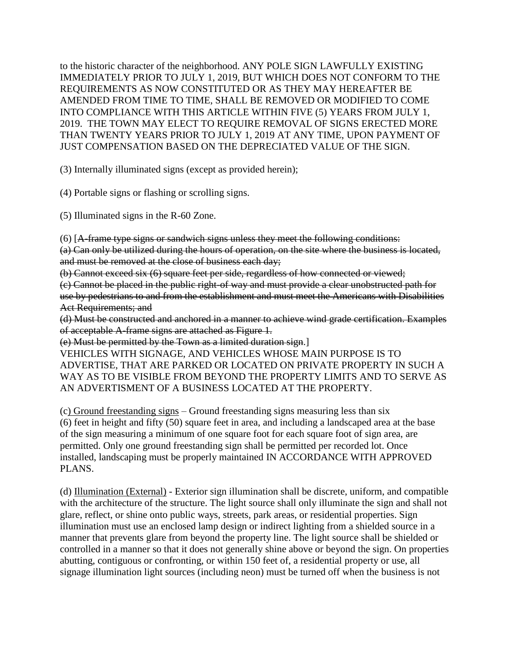to the historic character of the neighborhood. ANY POLE SIGN LAWFULLY EXISTING IMMEDIATELY PRIOR TO JULY 1, 2019, BUT WHICH DOES NOT CONFORM TO THE REQUIREMENTS AS NOW CONSTITUTED OR AS THEY MAY HEREAFTER BE AMENDED FROM TIME TO TIME, SHALL BE REMOVED OR MODIFIED TO COME INTO COMPLIANCE WITH THIS ARTICLE WITHIN FIVE (5) YEARS FROM JULY 1, 2019. THE TOWN MAY ELECT TO REQUIRE REMOVAL OF SIGNS ERECTED MORE THAN TWENTY YEARS PRIOR TO JULY 1, 2019 AT ANY TIME, UPON PAYMENT OF JUST COMPENSATION BASED ON THE DEPRECIATED VALUE OF THE SIGN.

(3) Internally illuminated signs (except as provided herein);

(4) Portable signs or flashing or scrolling signs.

(5) Illuminated signs in the R-60 Zone.

(6) [A-frame type signs or sandwich signs unless they meet the following conditions:

(a) Can only be utilized during the hours of operation, on the site where the business is located, and must be removed at the close of business each day;

(b) Cannot exceed six (6) square feet per side, regardless of how connected or viewed;

(c) Cannot be placed in the public right-of way and must provide a clear unobstructed path for use by pedestrians to and from the establishment and must meet the Americans with Disabilities Act Requirements; and

(d) Must be constructed and anchored in a manner to achieve wind grade certification. Examples of acceptable A-frame signs are attached as Figure 1.

(e) Must be permitted by the Town as a limited duration sign.]

VEHICLES WITH SIGNAGE, AND VEHICLES WHOSE MAIN PURPOSE IS TO ADVERTISE, THAT ARE PARKED OR LOCATED ON PRIVATE PROPERTY IN SUCH A WAY AS TO BE VISIBLE FROM BEYOND THE PROPERTY LIMITS AND TO SERVE AS AN ADVERTISMENT OF A BUSINESS LOCATED AT THE PROPERTY.

(c) Ground freestanding signs – Ground freestanding signs measuring less than six (6) feet in height and fifty (50) square feet in area, and including a landscaped area at the base of the sign measuring a minimum of one square foot for each square foot of sign area, are permitted. Only one ground freestanding sign shall be permitted per recorded lot. Once installed, landscaping must be properly maintained IN ACCORDANCE WITH APPROVED PLANS.

(d) Illumination (External) - Exterior sign illumination shall be discrete, uniform, and compatible with the architecture of the structure. The light source shall only illuminate the sign and shall not glare, reflect, or shine onto public ways, streets, park areas, or residential properties. Sign illumination must use an enclosed lamp design or indirect lighting from a shielded source in a manner that prevents glare from beyond the property line. The light source shall be shielded or controlled in a manner so that it does not generally shine above or beyond the sign. On properties abutting, contiguous or confronting, or within 150 feet of, a residential property or use, all signage illumination light sources (including neon) must be turned off when the business is not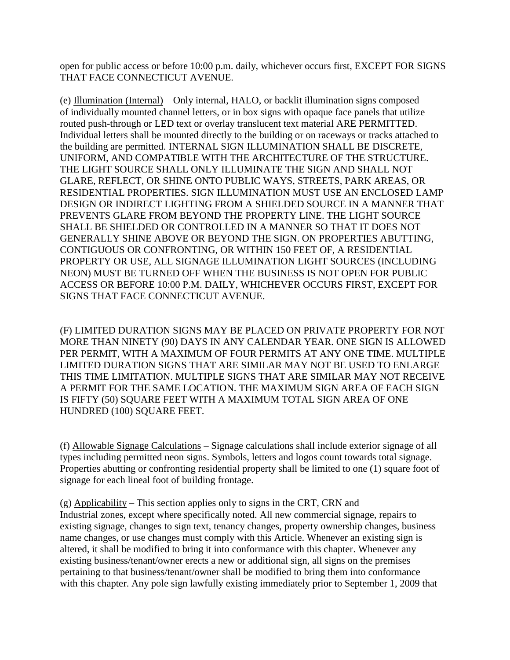open for public access or before 10:00 p.m. daily, whichever occurs first, EXCEPT FOR SIGNS THAT FACE CONNECTICUT AVENUE.

(e) Illumination (Internal) – Only internal, HALO, or backlit illumination signs composed of individually mounted channel letters, or in box signs with opaque face panels that utilize routed push-through or LED text or overlay translucent text material ARE PERMITTED. Individual letters shall be mounted directly to the building or on raceways or tracks attached to the building are permitted. INTERNAL SIGN ILLUMINATION SHALL BE DISCRETE, UNIFORM, AND COMPATIBLE WITH THE ARCHITECTURE OF THE STRUCTURE. THE LIGHT SOURCE SHALL ONLY ILLUMINATE THE SIGN AND SHALL NOT GLARE, REFLECT, OR SHINE ONTO PUBLIC WAYS, STREETS, PARK AREAS, OR RESIDENTIAL PROPERTIES. SIGN ILLUMINATION MUST USE AN ENCLOSED LAMP DESIGN OR INDIRECT LIGHTING FROM A SHIELDED SOURCE IN A MANNER THAT PREVENTS GLARE FROM BEYOND THE PROPERTY LINE. THE LIGHT SOURCE SHALL BE SHIELDED OR CONTROLLED IN A MANNER SO THAT IT DOES NOT GENERALLY SHINE ABOVE OR BEYOND THE SIGN. ON PROPERTIES ABUTTING, CONTIGUOUS OR CONFRONTING, OR WITHIN 150 FEET OF, A RESIDENTIAL PROPERTY OR USE, ALL SIGNAGE ILLUMINATION LIGHT SOURCES (INCLUDING NEON) MUST BE TURNED OFF WHEN THE BUSINESS IS NOT OPEN FOR PUBLIC ACCESS OR BEFORE 10:00 P.M. DAILY, WHICHEVER OCCURS FIRST, EXCEPT FOR SIGNS THAT FACE CONNECTICUT AVENUE.

(F) LIMITED DURATION SIGNS MAY BE PLACED ON PRIVATE PROPERTY FOR NOT MORE THAN NINETY (90) DAYS IN ANY CALENDAR YEAR. ONE SIGN IS ALLOWED PER PERMIT, WITH A MAXIMUM OF FOUR PERMITS AT ANY ONE TIME. MULTIPLE LIMITED DURATION SIGNS THAT ARE SIMILAR MAY NOT BE USED TO ENLARGE THIS TIME LIMITATION. MULTIPLE SIGNS THAT ARE SIMILAR MAY NOT RECEIVE A PERMIT FOR THE SAME LOCATION. THE MAXIMUM SIGN AREA OF EACH SIGN IS FIFTY (50) SQUARE FEET WITH A MAXIMUM TOTAL SIGN AREA OF ONE HUNDRED (100) SQUARE FEET.

(f) Allowable Signage Calculations – Signage calculations shall include exterior signage of all types including permitted neon signs. Symbols, letters and logos count towards total signage. Properties abutting or confronting residential property shall be limited to one (1) square foot of signage for each lineal foot of building frontage.

(g) Applicability – This section applies only to signs in the CRT, CRN and Industrial zones, except where specifically noted. All new commercial signage, repairs to existing signage, changes to sign text, tenancy changes, property ownership changes, business name changes, or use changes must comply with this Article. Whenever an existing sign is altered, it shall be modified to bring it into conformance with this chapter. Whenever any existing business/tenant/owner erects a new or additional sign, all signs on the premises pertaining to that business/tenant/owner shall be modified to bring them into conformance with this chapter. Any pole sign lawfully existing immediately prior to September 1, 2009 that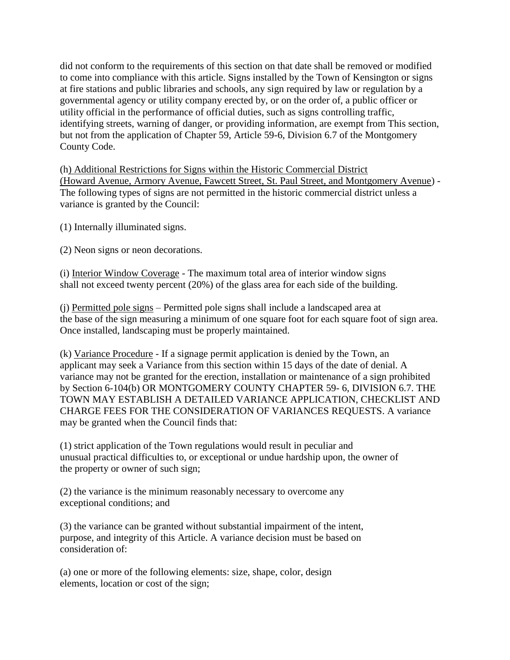did not conform to the requirements of this section on that date shall be removed or modified to come into compliance with this article. Signs installed by the Town of Kensington or signs at fire stations and public libraries and schools, any sign required by law or regulation by a governmental agency or utility company erected by, or on the order of, a public officer or utility official in the performance of official duties, such as signs controlling traffic, identifying streets, warning of danger, or providing information, are exempt from This section, but not from the application of Chapter 59, Article 59-6, Division 6.7 of the Montgomery County Code.

(h) Additional Restrictions for Signs within the Historic Commercial District (Howard Avenue, Armory Avenue, Fawcett Street, St. Paul Street, and Montgomery Avenue) - The following types of signs are not permitted in the historic commercial district unless a variance is granted by the Council:

(1) Internally illuminated signs.

(2) Neon signs or neon decorations.

(i) Interior Window Coverage - The maximum total area of interior window signs shall not exceed twenty percent (20%) of the glass area for each side of the building.

(j) Permitted pole signs – Permitted pole signs shall include a landscaped area at the base of the sign measuring a minimum of one square foot for each square foot of sign area. Once installed, landscaping must be properly maintained.

(k) Variance Procedure - If a signage permit application is denied by the Town, an applicant may seek a Variance from this section within 15 days of the date of denial. A variance may not be granted for the erection, installation or maintenance of a sign prohibited by Section 6-104(b) OR MONTGOMERY COUNTY CHAPTER 59- 6, DIVISION 6.7. THE TOWN MAY ESTABLISH A DETAILED VARIANCE APPLICATION, CHECKLIST AND CHARGE FEES FOR THE CONSIDERATION OF VARIANCES REQUESTS. A variance may be granted when the Council finds that:

(1) strict application of the Town regulations would result in peculiar and unusual practical difficulties to, or exceptional or undue hardship upon, the owner of the property or owner of such sign;

(2) the variance is the minimum reasonably necessary to overcome any exceptional conditions; and

(3) the variance can be granted without substantial impairment of the intent, purpose, and integrity of this Article. A variance decision must be based on consideration of:

(a) one or more of the following elements: size, shape, color, design elements, location or cost of the sign;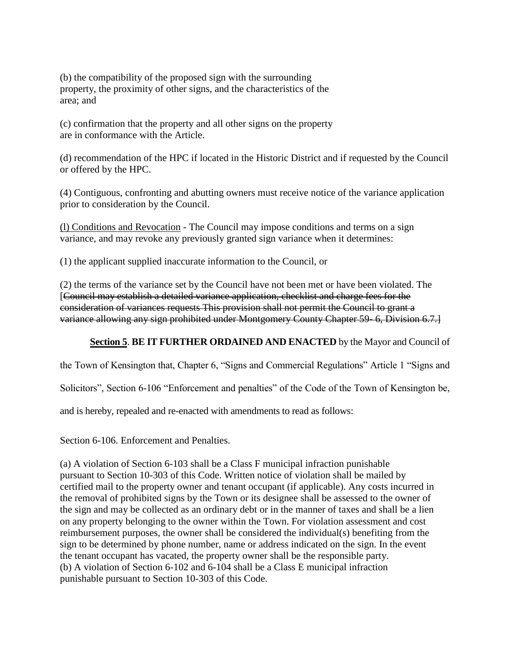(b) the compatibility of the proposed sign with the surrounding property, the proximity of other signs, and the characteristics of the area; and

(c) confirmation that the property and all other signs on the property are in conformance with the Article.

(d) recommendation of the HPC if located in the Historic District and if requested by the Council or offered by the HPC.

(4) Contiguous, confronting and abutting owners must receive notice of the variance application prior to consideration by the Council.

(l) Conditions and Revocation - The Council may impose conditions and terms on a sign variance, and may revoke any previously granted sign variance when it determines:

(1) the applicant supplied inaccurate information to the Council, or

(2) the terms of the variance set by the Council have not been met or have been violated. The [Council may establish a detailed variance application, checklist and charge fees for the consideration of variances requests This provision shall not permit the Council to grant a variance allowing any sign prohibited under Montgomery County Chapter 59- 6, Division 6.7.]

### **Section 5**. **BE IT FURTHER ORDAINED AND ENACTED** by the Mayor and Council of

the Town of Kensington that, Chapter 6, "Signs and Commercial Regulations" Article 1 "Signs and

Solicitors", Section 6-106 "Enforcement and penalties" of the Code of the Town of Kensington be,

and is hereby, repealed and re-enacted with amendments to read as follows:

Section 6-106. Enforcement and Penalties.

(a) A violation of Section 6-103 shall be a Class F municipal infraction punishable pursuant to Section 10-303 of this Code. Written notice of violation shall be mailed by certified mail to the property owner and tenant occupant (if applicable). Any costs incurred in the removal of prohibited signs by the Town or its designee shall be assessed to the owner of the sign and may be collected as an ordinary debt or in the manner of taxes and shall be a lien on any property belonging to the owner within the Town. For violation assessment and cost reimbursement purposes, the owner shall be considered the individual(s) benefiting from the sign to be determined by phone number, name or address indicated on the sign. In the event the tenant occupant has vacated, the property owner shall be the responsible party. (b) A violation of Section 6-102 and 6-104 shall be a Class E municipal infraction punishable pursuant to Section 10-303 of this Code.